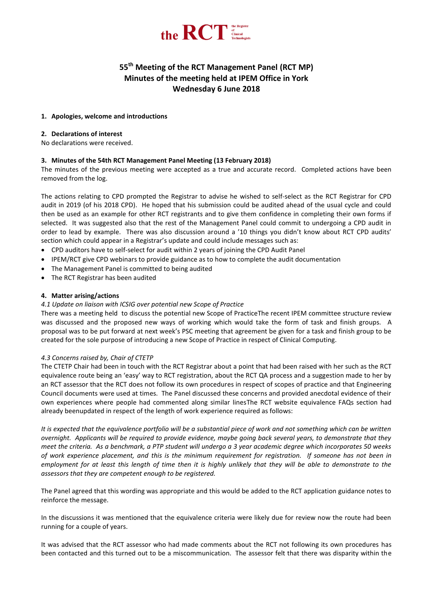

# **55 th Meeting of the RCT Management Panel (RCT MP) Minutes of the meeting held at IPEM Office in York Wednesday 6 June 2018**

## **1. Apologies, welcome and introductions**

## **2. Declarations of interest**

No declarations were received.

# **3. Minutes of the 54th RCT Management Panel Meeting (13 February 2018)**

The minutes of the previous meeting were accepted as a true and accurate record. Completed actions have been removed from the log.

The actions relating to CPD prompted the Registrar to advise he wished to self-select as the RCT Registrar for CPD audit in 2019 (of his 2018 CPD). He hoped that his submission could be audited ahead of the usual cycle and could then be used as an example for other RCT registrants and to give them confidence in completing their own forms if selected. It was suggested also that the rest of the Management Panel could commit to undergoing a CPD audit in order to lead by example. There was also discussion around a '10 things you didn't know about RCT CPD audits' section which could appear in a Registrar's update and could include messages such as:

- CPD auditors have to self-select for audit within 2 years of joining the CPD Audit Panel
- IPEM/RCT give CPD webinars to provide guidance as to how to complete the audit documentation
- The Management Panel is committed to being audited
- The RCT Registrar has been audited

## **4. Matter arising/actions**

# *4.1 Update on liaison with ICSIG over potential new Scope of Practice*

There was a meeting held to discuss the potential new Scope of PracticeThe recent IPEM committee structure review was discussed and the proposed new ways of working which would take the form of task and finish groups. A proposal was to be put forward at next week's PSC meeting that agreement be given for a task and finish group to be created for the sole purpose of introducing a new Scope of Practice in respect of Clinical Computing.

#### *4.3 Concerns raised by, Chair of CTETP*

The CTETP Chair had been in touch with the RCT Registrar about a point that had been raised with her such as the RCT equivalence route being an 'easy' way to RCT registration, about the RCT QA process and a suggestion made to her by an RCT assessor that the RCT does not follow its own procedures in respect of scopes of practice and that Engineering Council documents were used at times. The Panel discussed these concerns and provided anecdotal evidence of their own experiences where people had commented along similar linesThe RCT website equivalence FAQs section had already beenupdated in respect of the length of work experience required as follows:

*It is expected that the equivalence portfolio will be a substantial piece of work and not something which can be written overnight. Applicants will be required to provide evidence, maybe going back several years, to demonstrate that they meet the criteria. As a benchmark, a PTP student will undergo a 3 year academic degree which incorporates 50 weeks of work experience placement, and this is the minimum requirement for registration. If someone has not been in employment for at least this length of time then it is highly unlikely that they will be able to demonstrate to the assessors that they are competent enough to be registered.*

The Panel agreed that this wording was appropriate and this would be added to the RCT application guidance notes to reinforce the message.

In the discussions it was mentioned that the equivalence criteria were likely due for review now the route had been running for a couple of years.

It was advised that the RCT assessor who had made comments about the RCT not following its own procedures has been contacted and this turned out to be a miscommunication. The assessor felt that there was disparity within the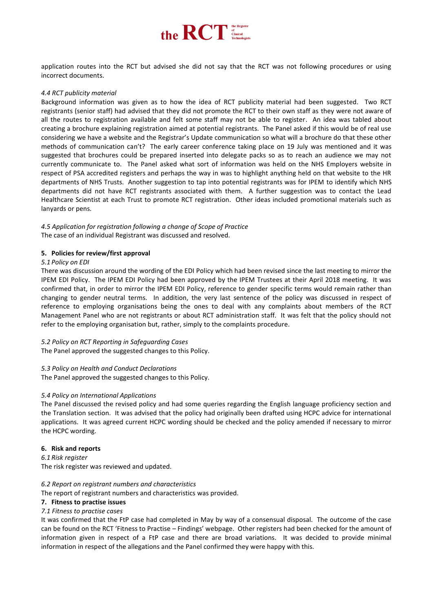

application routes into the RCT but advised she did not say that the RCT was not following procedures or using incorrect documents.

#### *4.4 RCT publicity material*

Background information was given as to how the idea of RCT publicity material had been suggested. Two RCT registrants (senior staff) had advised that they did not promote the RCT to their own staff as they were not aware of all the routes to registration available and felt some staff may not be able to register. An idea was tabled about creating a brochure explaining registration aimed at potential registrants. The Panel asked if this would be of real use considering we have a website and the Registrar's Update communication so what will a brochure do that these other methods of communication can't? The early career conference taking place on 19 July was mentioned and it was suggested that brochures could be prepared inserted into delegate packs so as to reach an audience we may not currently communicate to. The Panel asked what sort of information was held on the NHS Employers website in respect of PSA accredited registers and perhaps the way in was to highlight anything held on that website to the HR departments of NHS Trusts. Another suggestion to tap into potential registrants was for IPEM to identify which NHS departments did not have RCT registrants associated with them. A further suggestion was to contact the Lead Healthcare Scientist at each Trust to promote RCT registration. Other ideas included promotional materials such as lanyards or pens.

# *4.5 Application for registration following a change of Scope of Practice* The case of an individual Registrant was discussed and resolved.

## **5. Policies for review/first approval**

#### *5.1 Policy on EDI*

There was discussion around the wording of the EDI Policy which had been revised since the last meeting to mirror the IPEM EDI Policy. The IPEM EDI Policy had been approved by the IPEM Trustees at their April 2018 meeting. It was confirmed that, in order to mirror the IPEM EDI Policy, reference to gender specific terms would remain rather than changing to gender neutral terms. In addition, the very last sentence of the policy was discussed in respect of reference to employing organisations being the ones to deal with any complaints about members of the RCT Management Panel who are not registrants or about RCT administration staff. It was felt that the policy should not refer to the employing organisation but, rather, simply to the complaints procedure.

# *5.2 Policy on RCT Reporting in Safeguarding Cases*

The Panel approved the suggested changes to this Policy.

#### *5.3 Policy on Health and Conduct Declarations*

The Panel approved the suggested changes to this Policy.

# *5.4 Policy on International Applications*

The Panel discussed the revised policy and had some queries regarding the English language proficiency section and the Translation section. It was advised that the policy had originally been drafted using HCPC advice for international applications. It was agreed current HCPC wording should be checked and the policy amended if necessary to mirror the HCPC wording.

#### **6. Risk and reports**

*6.1 Risk register* The risk register was reviewed and updated.

#### *6.2 Report on registrant numbers and characteristics*

The report of registrant numbers and characteristics was provided.

#### **7. Fitness to practise issues**

# *7.1 Fitness to practise cases*

It was confirmed that the FtP case had completed in May by way of a consensual disposal. The outcome of the case can be found on the RCT 'Fitness to Practise – Findings' webpage. Other registers had been checked for the amount of information given in respect of a FtP case and there are broad variations. It was decided to provide minimal information in respect of the allegations and the Panel confirmed they were happy with this.